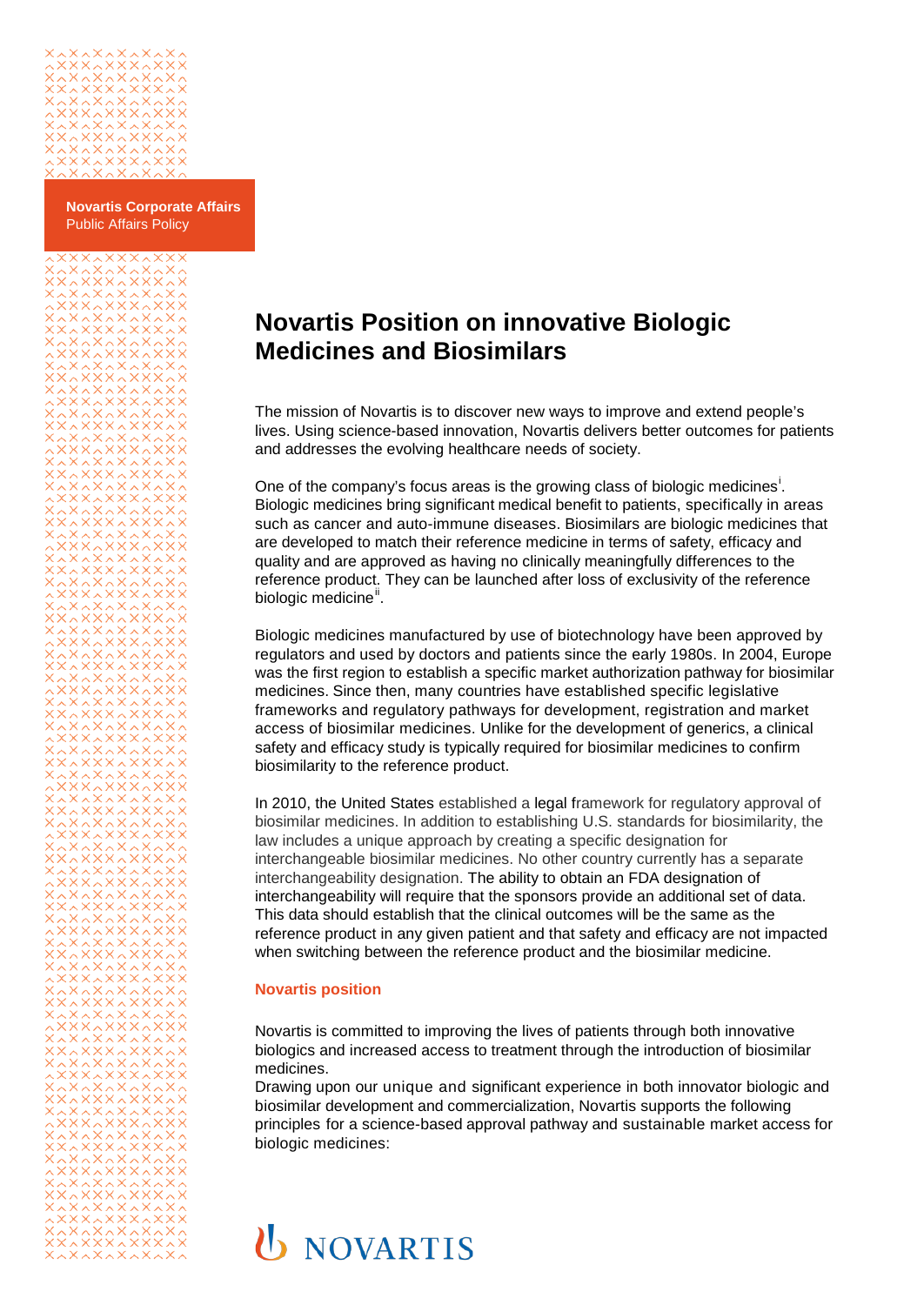

**Novartis Corporate Affairs** Public Affairs Policy

# **Novartis Position on innovative Biologic Medicines and Biosimilars**

The mission of Novartis is to discover new ways to improve and extend people's lives. Using science-based innovation, Novartis delivers better outcomes for patients and addresses the evolving healthcare needs of society.

One of the company's focus areas [i](#page-2-0)s the growing class of biologic medicines<sup>i</sup>. Biologic medicines bring significant medical benefit to patients, specifically in areas such as cancer and auto-immune diseases. Biosimilars are biologic medicines that are developed to match their reference medicine in terms of safety, efficacy and quality and are approved as having no clinically meaningfully differences to the reference product. They can be launched after loss of exclusivity of the reference biologic medicine".

Biologic medicines manufactured by use of biotechnology have been approved by regulators and used by doctors and patients since the early 1980s. In 2004, Europe was the first region to establish a specific market authorization pathway for biosimilar medicines. Since then, many countries have established specific legislative frameworks and regulatory pathways for development, registration and market access of biosimilar medicines. Unlike for the development of generics, a clinical safety and efficacy study is typically required for biosimilar medicines to confirm biosimilarity to the reference product.

In 2010, the United States established a legal framework for regulatory approval of biosimilar medicines. In addition to establishing U.S. standards for biosimilarity, the law includes a unique approach by creating a specific designation for interchangeable biosimilar medicines. No other country currently has a separate interchangeability designation. The ability to obtain an FDA designation of interchangeability will require that the sponsors provide an additional set of data. This data should establish that the clinical outcomes will be the same as the reference product in any given patient and that safety and efficacy are not impacted when switching between the reference product and the biosimilar medicine.

#### **Novartis position**

Novartis is committed to improving the lives of patients through both innovative biologics and increased access to treatment through the introduction of biosimilar medicines.

Drawing upon our unique and significant experience in both innovator biologic and biosimilar development and commercialization, Novartis supports the following principles for a science-based approval pathway and sustainable market access for biologic medicines:

# **U** NOVARTIS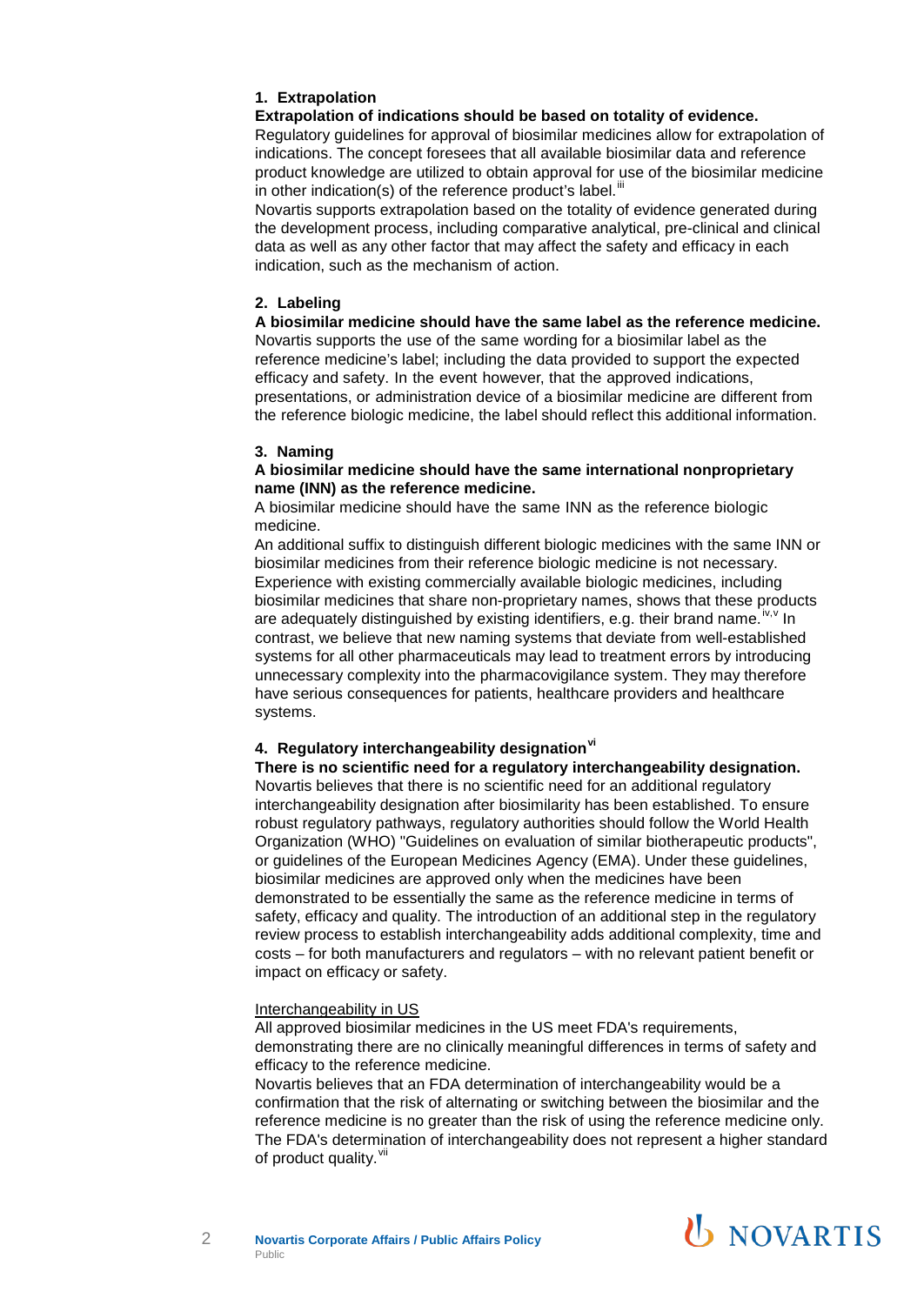## **1. Extrapolation**

#### **Extrapolation of indications should be based on totality of evidence.**

Regulatory guidelines for approval of biosimilar medicines allow for extrapolation of indications. The concept foresees that all available biosimilar data and reference product knowledge are utilized to obtain approval for use of the biosimilar medicine in other indication(s) of the reference product's label. $^{\text{iii}}$  $^{\text{iii}}$  $^{\text{iii}}$ 

Novartis supports extrapolation based on the totality of evidence generated during the development process, including comparative analytical, pre-clinical and clinical data as well as any other factor that may affect the safety and efficacy in each indication, such as the mechanism of action.

### **2. Labeling**

**A biosimilar medicine should have the same label as the reference medicine.** Novartis supports the use of the same wording for a biosimilar label as the reference medicine's label; including the data provided to support the expected efficacy and safety. In the event however, that the approved indications, presentations, or administration device of a biosimilar medicine are different from the reference biologic medicine, the label should reflect this additional information.

#### **3. Naming**

#### **A biosimilar medicine should have the same international nonproprietary name (INN) as the reference medicine.**

A biosimilar medicine should have the same INN as the reference biologic medicine.

An additional suffix to distinguish different biologic medicines with the same INN or biosimilar medicines from their reference biologic medicine is not necessary. Experience with existing commercially available biologic medicines, including biosimilar medicines that share non-proprietary names, shows that these products are adequately distinguished by existing identifiers, e.g. their brand name.  $i^{w,v}$  $i^{w,v}$  $i^{w,v}$  In contrast, we believe that new naming systems that deviate from well-established systems for all other pharmaceuticals may lead to treatment errors by introducing unnecessary complexity into the pharmacovigilance system. They may therefore have serious consequences for patients, healthcare providers and healthcare systems.

# **4. Regulatory interchangeability designation[vi](#page-2-5)**

**There is no scientific need for a regulatory interchangeability designation.** Novartis believes that there is no scientific need for an additional regulatory interchangeability designation after biosimilarity has been established. To ensure robust regulatory pathways, regulatory authorities should follow the World Health Organization (WHO) "Guidelines on evaluation of similar biotherapeutic products", or guidelines of the European Medicines Agency (EMA). Under these guidelines, biosimilar medicines are approved only when the medicines have been demonstrated to be essentially the same as the reference medicine in terms of safety, efficacy and quality. The introduction of an additional step in the regulatory review process to establish interchangeability adds additional complexity, time and costs – for both manufacturers and regulators – with no relevant patient benefit or impact on efficacy or safety.

#### Interchangeability in US

All approved biosimilar medicines in the US meet FDA's requirements, demonstrating there are no clinically meaningful differences in terms of safety and efficacy to the reference medicine.

Novartis believes that an FDA determination of interchangeability would be a confirmation that the risk of alternating or switching between the biosimilar and the reference medicine is no greater than the risk of using the reference medicine only. The FDA's determination of interchangeability does not represent a higher standard of product quality. Vil



2